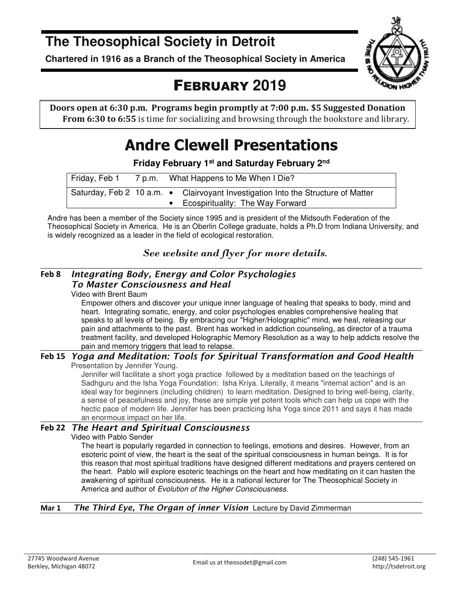**The Theosophical Society in Detroit** 

**Chartered in 1916 as a Branch of the Theosophical Society in America** 



# FEBRUARY **2019**

**Doors open at 6:30 p.m. Programs begin promptly at 7:00 p.m. \$5 Suggested Donation From 6:30 to 6:55** is time for socializing and browsing through the bookstore and library.

# **Andre Clewell Presentations**

**Friday February 1st and Saturday February 2nd** 

| Friday, Feb 1 | 7 p.m. What Happens to Me When I Die?                                                                                  |
|---------------|------------------------------------------------------------------------------------------------------------------------|
|               | Saturday, Feb 2 10 a.m. • Clairvoyant Investigation Into the Structure of Matter<br>• Ecospirituality: The Way Forward |

Andre has been a member of the Society since 1995 and is president of the Midsouth Federation of the Theosophical Society in America. He is an Oberlin College graduate, holds a Ph.D from Indiana University, and is widely recognized as a leader in the field of ecological restoration.

### *See website and flyer for more details.*

### **Feb 8** *Integrating Body, Energy and Color Psychologies To Master Consciousness and Heal*

Video with Brent Baum

Empower others and discover your unique inner language of healing that speaks to body, mind and heart. Integrating somatic, energy, and color psychologies enables comprehensive healing that speaks to all levels of being. By embracing our "Higher/Holographic" mind, we heal, releasing our pain and attachments to the past. Brent has worked in addiction counseling, as director of a trauma treatment facility, and developed Holographic Memory Resolution as a way to help addicts resolve the pain and memory triggers that lead to relapse.

#### **Feb 15** *Yoga and Meditation: Tools for Spiritual Transformation and Good Health*  Presentation by Jennifer Young.

Jennifer will facilitate a short yoga practice followed by a meditation based on the teachings of Sadhguru and the Isha Yoga Foundation: Isha Kriya. Literally, it means "internal action" and is an ideal way for beginners (including children) to learn meditation. Designed to bring well-being, clarity, a sense of peacefulness and joy, these are simple yet potent tools which can help us cope with the hectic pace of modern life. Jennifer has been practicing Isha Yoga since 2011 and says it has made an enormous impact on her life.

### **Feb 22** *The Heart and Spiritual Consciousness*

### Video with Pablo Sender

The heart is popularly regarded in connection to feelings, emotions and desires. However, from an esoteric point of view, the heart is the seat of the spiritual consciousness in human beings. It is for this reason that most spiritual traditions have designed different meditations and prayers centered on the heart. Pablo will explore esoteric teachings on the heart and how meditating on it can hasten the awakening of spiritual consciousness. He is a national lecturer for The Theosophical Society in America and author of Evolution of the Higher Consciousness.

### **Mar 1** *The Third Eye, The Organ of inner Vision* Lecture by David Zimmerman